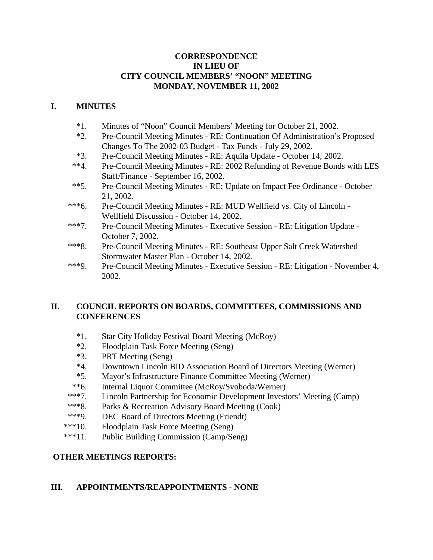## **CORRESPONDENCE IN LIEU OF CITY COUNCIL MEMBERS' "NOON" MEETING MONDAY, NOVEMBER 11, 2002**

## **I. MINUTES**

- \*1. Minutes of "Noon" Council Members' Meeting for October 21, 2002.
- \*2. Pre-Council Meeting Minutes RE: Continuation Of Administration's Proposed Changes To The 2002-03 Budget - Tax Funds - July 29, 2002.
- \*3. Pre-Council Meeting Minutes RE: Aquila Update October 14, 2002.
- \*\*4. Pre-Council Meeting Minutes RE: 2002 Refunding of Revenue Bonds with LES Staff/Finance - September 16, 2002.
- \*\*5. Pre-Council Meeting Minutes RE: Update on Impact Fee Ordinance October 21, 2002.
- \*\*\*6. Pre-Council Meeting Minutes RE: MUD Wellfield vs. City of Lincoln Wellfield Discussion - October 14, 2002.
- \*\*\*7. Pre-Council Meeting Minutes Executive Session RE: Litigation Update October 7, 2002.
- \*\*\*8. Pre-Council Meeting Minutes RE: Southeast Upper Salt Creek Watershed Stormwater Master Plan - October 14, 2002.
- \*\*\*9. Pre-Council Meeting Minutes Executive Session RE: Litigation November 4, 2002.

# **II. COUNCIL REPORTS ON BOARDS, COMMITTEES, COMMISSIONS AND CONFERENCES**

- \*1. Star City Holiday Festival Board Meeting (McRoy)
- \*2. Floodplain Task Force Meeting (Seng)
- \*3. PRT Meeting (Seng)
- \*4. Downtown Lincoln BID Association Board of Directors Meeting (Werner)
- \*5. Mayor's Infrastructure Finance Committee Meeting (Werner)
- \*\*6. Internal Liquor Committee (McRoy/Svoboda/Werner)
- \*\*\*7. Lincoln Partnership for Economic Development Investors' Meeting (Camp)
- \*\*\*8. Parks & Recreation Advisory Board Meeting (Cook)
- \*\*\*9. DEC Board of Directors Meeting (Friendt)
- \*\*\*10. Floodplain Task Force Meeting (Seng)
- \*\*\*11. Public Building Commission (Camp/Seng)

## **OTHER MEETINGS REPORTS:**

## **III. APPOINTMENTS/REAPPOINTMENTS** - **NONE**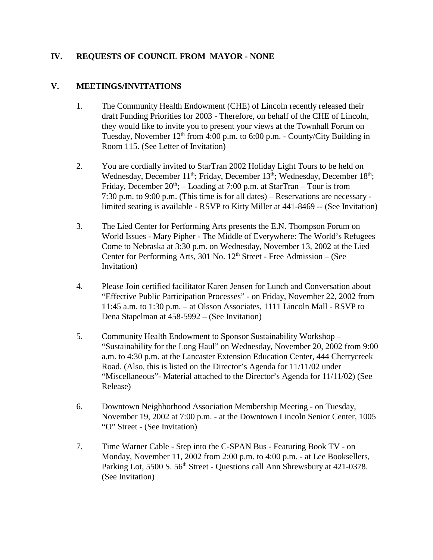# **IV. REQUESTS OF COUNCIL FROM MAYOR - NONE**

## **V. MEETINGS/INVITATIONS**

- 1. The Community Health Endowment (CHE) of Lincoln recently released their draft Funding Priorities for 2003 - Therefore, on behalf of the CHE of Lincoln, they would like to invite you to present your views at the Townhall Forum on Tuesday, November  $12<sup>th</sup>$  from 4:00 p.m. to 6:00 p.m. - County/City Building in Room 115. (See Letter of Invitation)
- 2. You are cordially invited to StarTran 2002 Holiday Light Tours to be held on Wednesday, December 11<sup>th</sup>; Friday, December 13<sup>th</sup>; Wednesday, December 18<sup>th</sup>; Friday, December  $20^{th}$ ; – Loading at 7:00 p.m. at StarTran – Tour is from 7:30 p.m. to 9:00 p.m. (This time is for all dates) – Reservations are necessary limited seating is available - RSVP to Kitty Miller at 441-8469 -- (See Invitation)
- 3. The Lied Center for Performing Arts presents the E.N. Thompson Forum on World Issues - Mary Pipher - The Middle of Everywhere: The World's Refugees Come to Nebraska at 3:30 p.m. on Wednesday, November 13, 2002 at the Lied Center for Performing Arts, 301 No.  $12<sup>th</sup>$  Street - Free Admission – (See Invitation)
- 4. Please Join certified facilitator Karen Jensen for Lunch and Conversation about "Effective Public Participation Processes" - on Friday, November 22, 2002 from 11:45 a.m. to 1:30 p.m. – at Olsson Associates, 1111 Lincoln Mall - RSVP to Dena Stapelman at 458-5992 – (See Invitation)
- 5. Community Health Endowment to Sponsor Sustainability Workshop "Sustainability for the Long Haul" on Wednesday, November 20, 2002 from 9:00 a.m. to 4:30 p.m. at the Lancaster Extension Education Center, 444 Cherrycreek Road. (Also, this is listed on the Director's Agenda for 11/11/02 under "Miscellaneous"- Material attached to the Director's Agenda for 11/11/02) (See Release)
- 6. Downtown Neighborhood Association Membership Meeting on Tuesday, November 19, 2002 at 7:00 p.m. - at the Downtown Lincoln Senior Center, 1005 "O" Street - (See Invitation)
- 7. Time Warner Cable Step into the C-SPAN Bus Featuring Book TV on Monday, November 11, 2002 from 2:00 p.m. to 4:00 p.m. - at Lee Booksellers, Parking Lot, 5500 S. 56<sup>th</sup> Street - Questions call Ann Shrewsbury at 421-0378. (See Invitation)